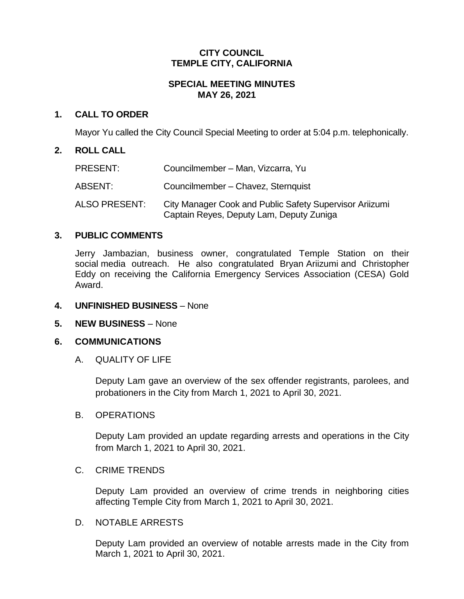### **CITY COUNCIL TEMPLE CITY, CALIFORNIA**

# **SPECIAL MEETING MINUTES MAY 26, 2021**

## **1. CALL TO ORDER**

Mayor Yu called the City Council Special Meeting to order at 5:04 p.m. telephonically.

### **2. ROLL CALL**

| PRESENT:      | Councilmember - Man, Vizcarra, Yu                                                                   |
|---------------|-----------------------------------------------------------------------------------------------------|
| ABSENT:       | Councilmember - Chavez, Sternquist                                                                  |
| ALSO PRESENT: | City Manager Cook and Public Safety Supervisor Ariizumi<br>Captain Reyes, Deputy Lam, Deputy Zuniga |

## **3. PUBLIC COMMENTS**

Jerry Jambazian, business owner, congratulated Temple Station on their social media outreach. He also congratulated Bryan Ariizumi and Christopher Eddy on receiving the California Emergency Services Association (CESA) Gold Award.

### **4. UNFINISHED BUSINESS** – None

## **5. NEW BUSINESS** – None

### **6. COMMUNICATIONS**

### A. QUALITY OF LIFE

Deputy Lam gave an overview of the sex offender registrants, parolees, and probationers in the City from March 1, 2021 to April 30, 2021.

### B. OPERATIONS

Deputy Lam provided an update regarding arrests and operations in the City from March 1, 2021 to April 30, 2021.

### C. CRIME TRENDS

Deputy Lam provided an overview of crime trends in neighboring cities affecting Temple City from March 1, 2021 to April 30, 2021.

### D. NOTABLE ARRESTS

Deputy Lam provided an overview of notable arrests made in the City from March 1, 2021 to April 30, 2021.